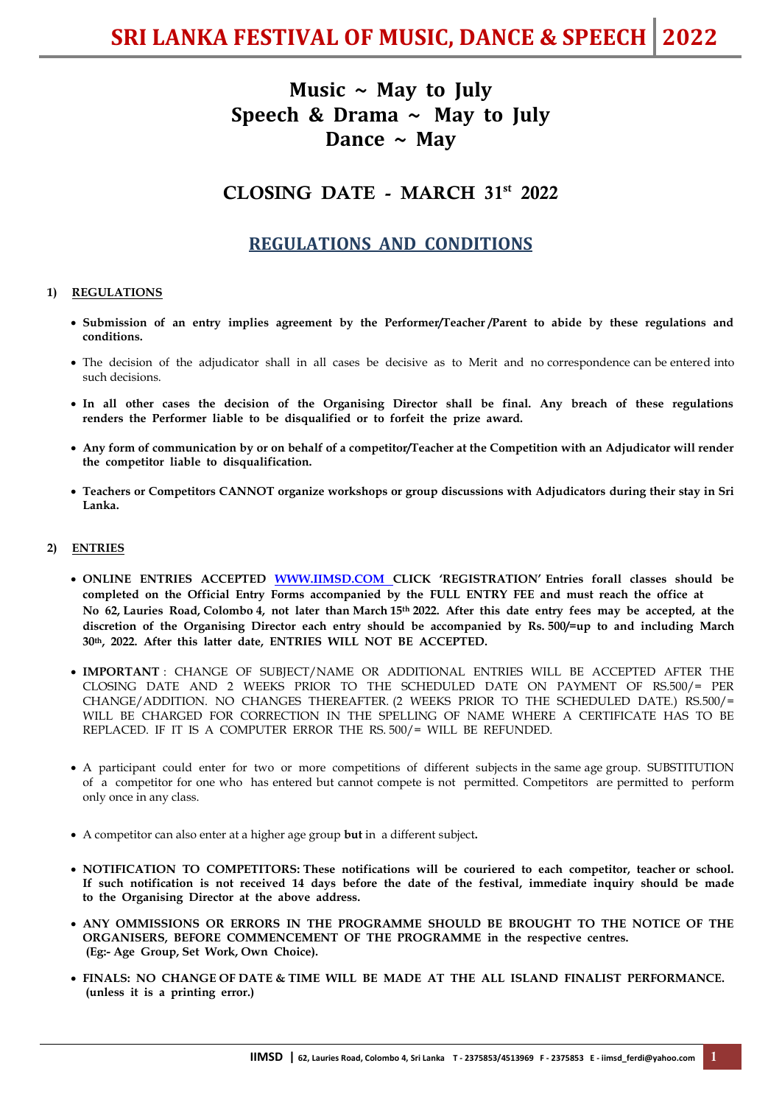# **Music ~ May to July Speech & Drama ~ May to July Dance ~ May**

# CLOSING DATE - MARCH 31st 2022

# **REGULATIONS AND CONDITIONS**

# **1) REGULATIONS**

- **Submission of an entry implies agreement by the Performer/Teacher /Parent to abide by these regulations and conditions.**
- The decision of the adjudicator shall in all cases be decisive as to Merit and no correspondence can be entered into such decisions.
- **In all other cases the decision of the Organising Director shall be final. Any breach of these regulations renders the Performer liable to be disqualified or to forfeit the prize award.**
- **Any form of communication by or on behalf of a competitor/Teacher at the Competition with an Adjudicator will render the competitor liable to disqualification.**
- **Teachers or Competitors CANNOT organize workshops or group discussions with Adjudicators during their stay in Sri Lanka.**

# **2) ENTRIES**

- **ONLINE ENTRIES ACCEPTED [WWW.IIMSD.COM](http://www.iimsd.com/) CLICK 'REGISTRATION' Entries forall classes should be completed on the Official Entry Forms accompanied by the FULL ENTRY FEE and must reach the office at No 62, Lauries Road, Colombo 4, not later than March 15th 2022. After this date entry fees may be accepted, at the discretion of the Organising Director each entry should be accompanied by Rs. 500/=up to and including March 30th, 2022. After this latter date, ENTRIES WILL NOT BE ACCEPTED.**
- **IMPORTANT** : CHANGE OF SUBJECT/NAME OR ADDITIONAL ENTRIES WILL BE ACCEPTED AFTER THE CLOSING DATE AND 2 WEEKS PRIOR TO THE SCHEDULED DATE ON PAYMENT OF RS.500/= PER CHANGE/ADDITION. NO CHANGES THEREAFTER. (2 WEEKS PRIOR TO THE SCHEDULED DATE.) RS.500/= WILL BE CHARGED FOR CORRECTION IN THE SPELLING OF NAME WHERE A CERTIFICATE HAS TO BE REPLACED. IF IT IS A COMPUTER ERROR THE RS. 500/= WILL BE REFUNDED.
- A participant could enter for two or more competitions of different subjects in the same age group. SUBSTITUTION of a competitor for one who has entered but cannot compete is not permitted. Competitors are permitted to perform only once in any class.
- A competitor can also enter at a higher age group **but** in a different subject**.**
- **NOTIFICATION TO COMPETITORS: These notifications will be couriered to each competitor, teacher or school. If such notification is not received 14 days before the date of the festival, immediate inquiry should be made to the Organising Director at the above address.**
- **ANY OMMISSIONS OR ERRORS IN THE PROGRAMME SHOULD BE BROUGHT TO THE NOTICE OF THE ORGANISERS, BEFORE COMMENCEMENT OF THE PROGRAMME in the respective centres. (Eg:- Age Group, Set Work, Own Choice).**
- **FINALS: NO CHANGE OF DATE & TIME WILL BE MADE AT THE ALL ISLAND FINALIST PERFORMANCE. (unless it is a printing error.)**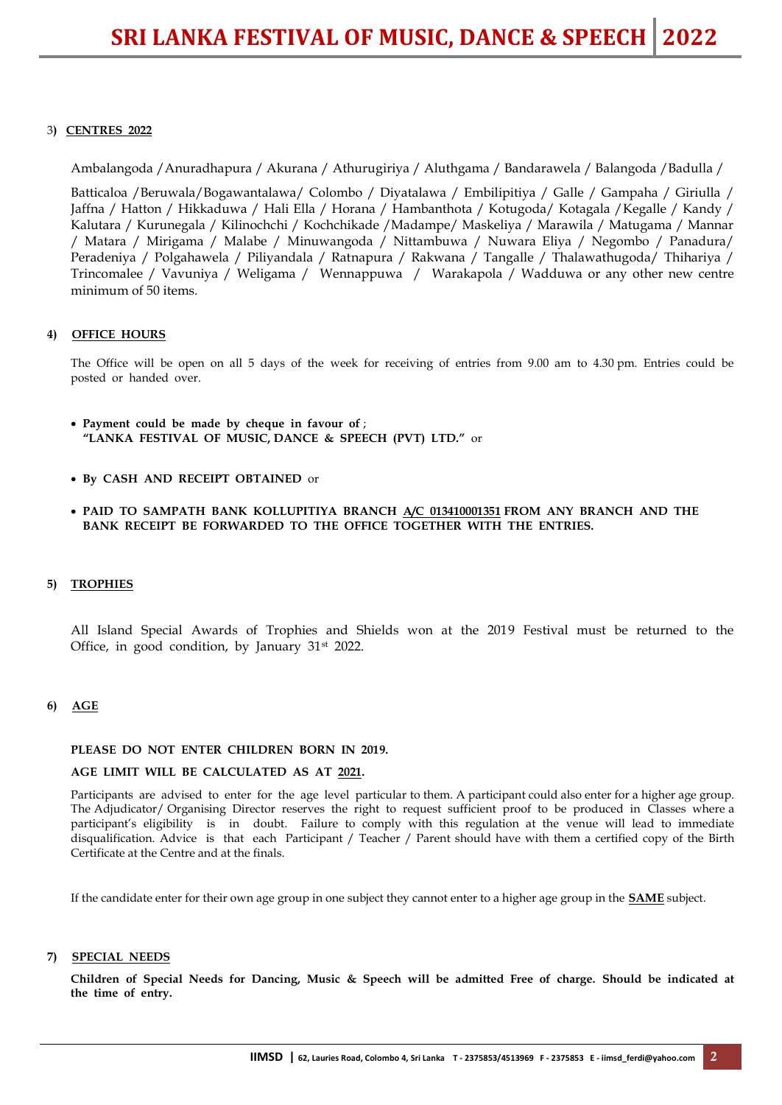# 3**) CENTRES 2022**

Ambalangoda /Anuradhapura / Akurana / Athurugiriya / Aluthgama / Bandarawela / Balangoda /Badulla /

Batticaloa /Beruwala/Bogawantalawa/ Colombo / Diyatalawa / Embilipitiya / Galle / Gampaha / Giriulla / Jaffna / Hatton / Hikkaduwa / Hali Ella / Horana / Hambanthota / Kotugoda/ Kotagala /Kegalle / Kandy / Kalutara / Kurunegala / Kilinochchi / Kochchikade /Madampe/ Maskeliya / Marawila / Matugama / Mannar / Matara / Mirigama / Malabe / Minuwangoda / Nittambuwa / Nuwara Eliya / Negombo / Panadura/ Peradeniya / Polgahawela / Piliyandala / Ratnapura / Rakwana / Tangalle / Thalawathugoda/ Thihariya / Trincomalee / Vavuniya / Weligama / Wennappuwa / Warakapola / Wadduwa or any other new centre minimum of 50 items.

# **4) OFFICE HOURS**

The Office will be open on all 5 days of the week for receiving of entries from 9.00 am to 4.30 pm. Entries could be posted or handed over.

- **Payment could be made by cheque in favour of** ;  **"LANKA FESTIVAL OF MUSIC, DANCE & SPEECH (PVT) LTD."** or
- **By CASH AND RECEIPT OBTAINED** or
- **PAID TO SAMPATH BANK KOLLUPITIYA BRANCH A/C 013410001351 FROM ANY BRANCH AND THE BANK RECEIPT BE FORWARDED TO THE OFFICE TOGETHER WITH THE ENTRIES.**

#### **5) TROPHIES**

All Island Special Awards of Trophies and Shields won at the 2019 Festival must be returned to the Office, in good condition, by January  $31<sup>st</sup>$  2022.

#### **6) AGE**

#### **PLEASE DO NOT ENTER CHILDREN BORN IN 2019.**

#### **AGE LIMIT WILL BE CALCULATED AS AT 2021.**

Participants are advised to enter for the age level particular to them. A participant could also enter for a higher age group. The Adjudicator/ Organising Director reserves the right to request sufficient proof to be produced in Classes where a participant's eligibility is in doubt. Failure to comply with this regulation at the venue will lead to immediate disqualification. Advice is that each Participant / Teacher / Parent should have with them a certified copy of the Birth Certificate at the Centre and at the finals.

If the candidate enter for their own age group in one subject they cannot enter to a higher age group in the **SAME** subject.

#### **7) SPECIAL NEEDS**

**Children of Special Needs for Dancing, Music & Speech will be admitted Free of charge. Should be indicated at the time of entry.**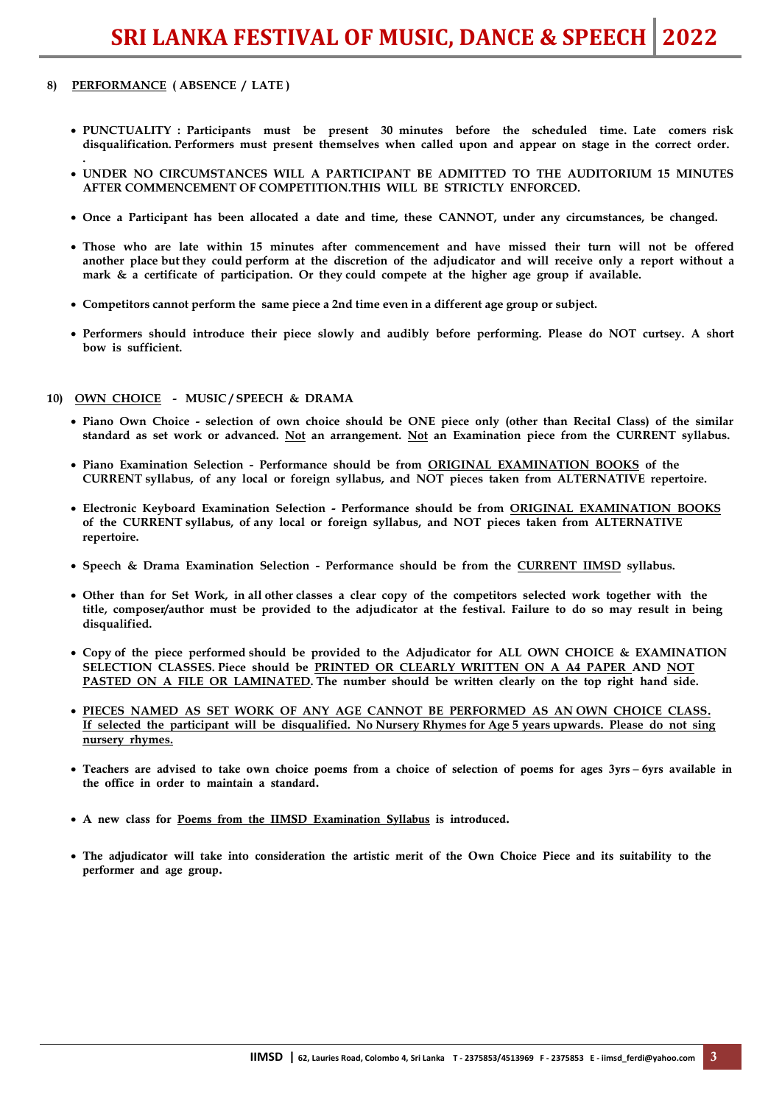### **8) PERFORMANCE ( ABSENCE / LATE )**

**.** 

- **PUNCTUALITY : Participants must be present 30 minutes before the scheduled time. Late comers risk disqualification. Performers must present themselves when called upon and appear on stage in the correct order.**
- **UNDER NO CIRCUMSTANCES WILL A PARTICIPANT BE ADMITTED TO THE AUDITORIUM 15 MINUTES AFTER COMMENCEMENT OF COMPETITION.THIS WILL BE STRICTLY ENFORCED.**
- **Once a Participant has been allocated a date and time, these CANNOT, under any circumstances, be changed.**
- **Those who are late within 15 minutes after commencement and have missed their turn will not be offered another place but they could perform at the discretion of the adjudicator and will receive only a report without a mark & a certificate of participation. Or they could compete at the higher age group if available.**
- **Competitors cannot perform the same piece a 2nd time even in a different age group or subject.**
- **Performers should introduce their piece slowly and audibly before performing. Please do NOT curtsey. A short bow is sufficient.**

# **10) OWN CHOICE - MUSIC / SPEECH & DRAMA**

- **Piano Own Choice selection of own choice should be ONE piece only (other than Recital Class) of the similar standard as set work or advanced. Not an arrangement. Not an Examination piece from the CURRENT syllabus.**
- **Piano Examination Selection Performance should be from ORIGINAL EXAMINATION BOOKS of the CURRENT syllabus, of any local or foreign syllabus, and NOT pieces taken from ALTERNATIVE repertoire.**
- **Electronic Keyboard Examination Selection Performance should be from ORIGINAL EXAMINATION BOOKS of the CURRENT syllabus, of any local or foreign syllabus, and NOT pieces taken from ALTERNATIVE repertoire.**
- **Speech & Drama Examination Selection Performance should be from the CURRENT IIMSD syllabus.**
- **Other than for Set Work, in all other classes a clear copy of the competitors selected work together with the title, composer/author must be provided to the adjudicator at the festival. Failure to do so may result in being disqualified.**
- **Copy of the piece performed should be provided to the Adjudicator for ALL OWN CHOICE & EXAMINATION SELECTION CLASSES. Piece should be PRINTED OR CLEARLY WRITTEN ON A A4 PAPER AND NOT PASTED ON A FILE OR LAMINATED. The number should be written clearly on the top right hand side.**
- **PIECES NAMED AS SET WORK OF ANY AGE CANNOT BE PERFORMED AS AN OWN CHOICE CLASS. If selected the participant will be disqualified. No Nursery Rhymes for Age 5 years upwards. Please do not sing nursery rhymes.**
- Teachers are advised to take own choice poems from a choice of selection of poems for ages 3yrs 6yrs available in the office in order to maintain a standard.
- A new class for Poems from the IIMSD Examination Syllabus is introduced.
- The adjudicator will take into consideration the artistic merit of the Own Choice Piece and its suitability to the performer and age group.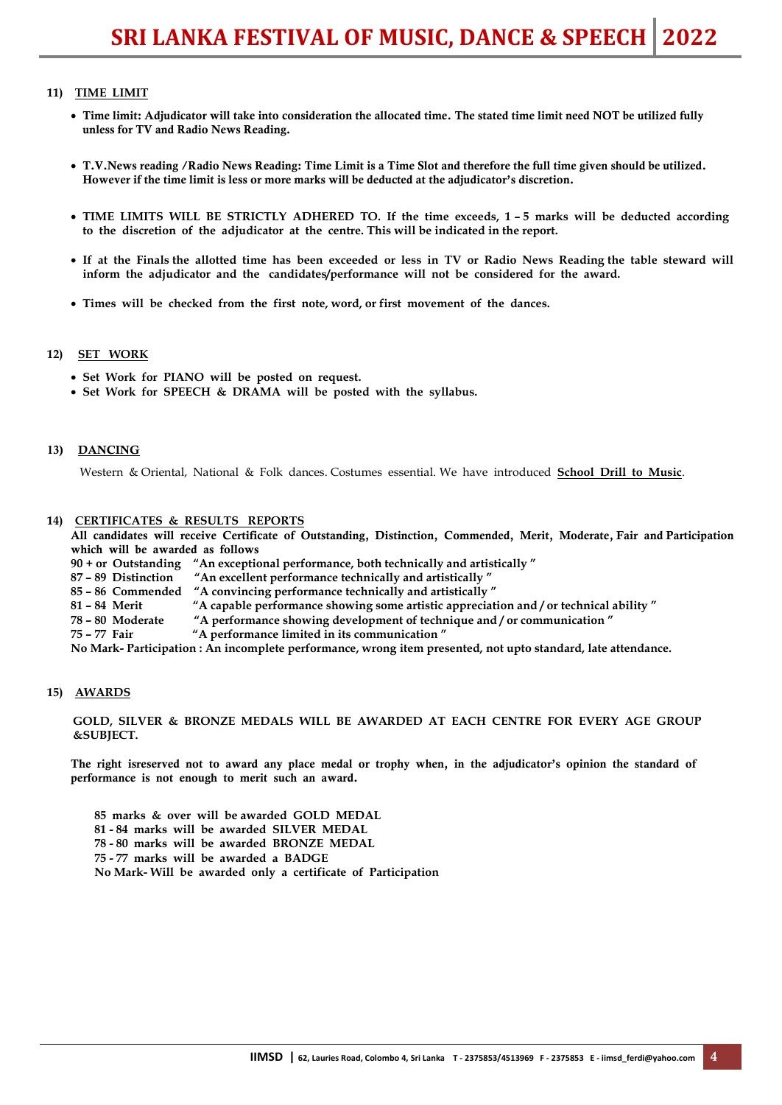# **11) TIME LIMIT**

- Time limit: Adjudicator will take into consideration the allocated time. The stated time limit need NOT be utilized fully unless for TV and Radio News Reading.
- T.V.News reading /Radio News Reading: Time Limit is a Time Slot and therefore the full time given should be utilized. However if the time limit is less or more marks will be deducted at the adjudicator's discretion.
- **TIME LIMITS WILL BE STRICTLY ADHERED TO. If the time exceeds, 1 5 marks will be deducted according to the discretion of the adjudicator at the centre. This will be indicated in the report.**
- **If at the Finals the allotted time has been exceeded or less in TV or Radio News Reading the table steward will inform the adjudicator and the candidates/performance will not be considered for the award.**
- **Times will be checked from the first note, word, or first movement of the dances.**

#### **12) SET WORK**

- **Set Work for PIANO will be posted on request.**
- **Set Work for SPEECH & DRAMA will be posted with the syllabus.**

#### 13) DANCING

Western & Oriental, National & Folk dances. Costumes essential. We have introduced **School Drill to Music**.

#### **14) CERTIFICATES & RESULTS REPORTS**

All candidates will receive Certificate of Outstanding, Distinction, Commended, Merit, Moderate, Fair and Participation which will be awarded as follows

**90 + or Outstanding "An exceptional performance, both technically and artistically "**

- **87 – 89 Distinction "An excellent performance technically and artistically "**
- **85 – 86 Commended "A convincing performance technically and artistically "**
- **81 – 84 Merit "A capable performance showing some artistic appreciation and / or technical ability "**
- **78 – 80 Moderate "A performance showing development of technique and / or communication "**
- **75 – 77 Fair "A performance limited in its communication "**

**No Mark- Participation : An incomplete performance, wrong item presented, not upto standard, late attendance.**

#### **15) AWARDS**

**GOLD, SILVER & BRONZE MEDALS WILL BE AWARDED AT EACH CENTRE FOR EVERY AGE GROUP &SUBJECT.**

The right isreserved not to award any place medal or trophy when, in the adjudicator's opinion the standard of performance is not enough to merit such an award.

**85 marks & over will be awarded GOLD MEDAL 81 - 84 marks will be awarded SILVER MEDAL 78 - 80 marks will be awarded BRONZE MEDAL 75 - 77 marks will be awarded a BADGE No Mark- Will be awarded only a certificate of Participation**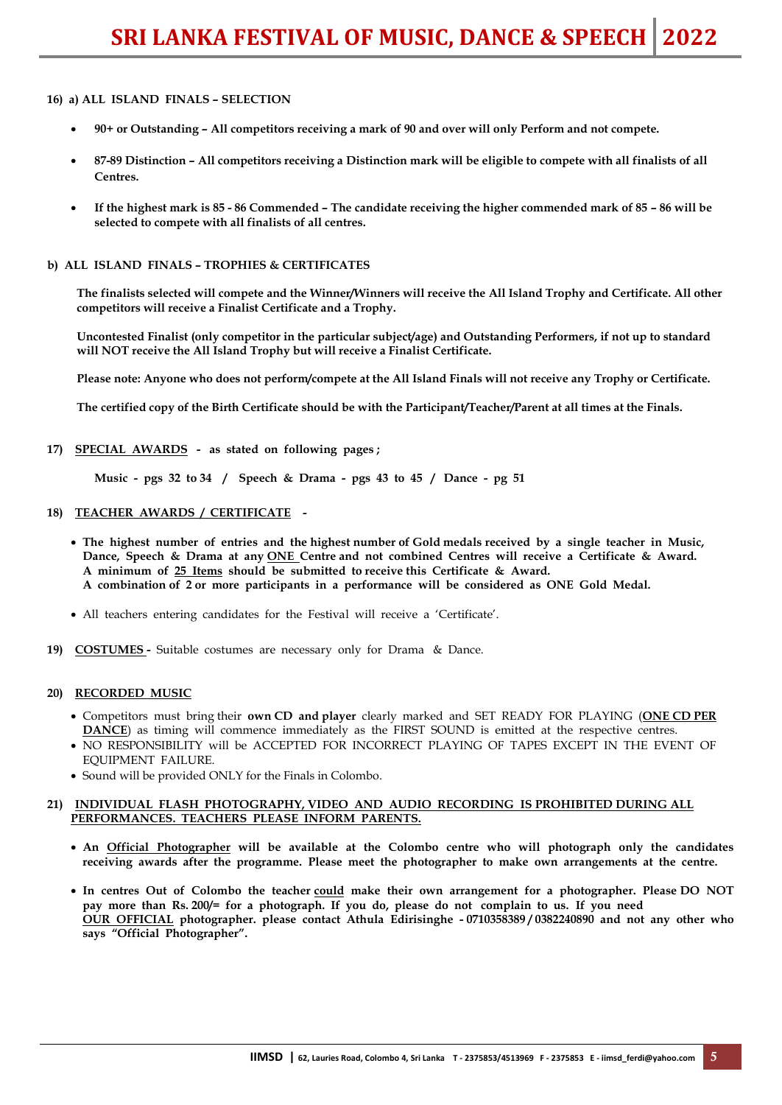### **16) a) ALL ISLAND FINALS – SELECTION**

- **90+ or Outstanding – All competitors receiving a mark of 90 and over will only Perform and not compete.**
- **87-89 Distinction – All competitors receiving a Distinction mark will be eligible to compete with all finalists of all Centres.**
- **If the highest mark is 85 - 86 Commended – The candidate receiving the higher commended mark of 85 – 86 will be selected to compete with all finalists of all centres.**

#### **b) ALL ISLAND FINALS – TROPHIES & CERTIFICATES**

**The finalists selected will compete and the Winner/Winners will receive the All Island Trophy and Certificate. All other competitors will receive a Finalist Certificate and a Trophy.**

**Uncontested Finalist (only competitor in the particular subject/age) and Outstanding Performers, if not up to standard will NOT receive the All Island Trophy but will receive a Finalist Certificate.**

**Please note: Anyone who does not perform/compete at the All Island Finals will not receive any Trophy or Certificate.**

**The certified copy of the Birth Certificate should be with the Participant/Teacher/Parent at all times at the Finals.**

**17) SPECIAL AWARDS - as stated on following pages ;** 

**Music - pgs 32 to 34 / Speech & Drama - pgs 43 to 45 / Dance - pg 51**

#### **18) TEACHER AWARDS / CERTIFICATE -**

- **The highest number of entries and the highest number of Gold medals received by a single teacher in Music, Dance, Speech & Drama at any ONE Centre and not combined Centres will receive a Certificate & Award. A minimum of 25 Items should be submitted to receive this Certificate & Award. A combination of 2 or more participants in a performance will be considered as ONE Gold Medal.**
- All teachers entering candidates for the Festival will receive a 'Certificate'.
- **19) COSTUMES** Suitable costumes are necessary only for Drama & Dance.

#### **20) RECORDED MUSIC**

- Competitors must bring their **own CD and player** clearly marked and SET READY FOR PLAYING (**ONE CD PER DANCE**) as timing will commence immediately as the FIRST SOUND is emitted at the respective centres.
- NO RESPONSIBILITY will be ACCEPTED FOR INCORRECT PLAYING OF TAPES EXCEPT IN THE EVENT OF EQUIPMENT FAILURE.
- Sound will be provided ONLY for the Finals in Colombo.

#### **21) INDIVIDUAL FLASH PHOTOGRAPHY, VIDEO AND AUDIO RECORDING IS PROHIBITED DURING ALL PERFORMANCES. TEACHERS PLEASE INFORM PARENTS.**

- **An Official Photographer will be available at the Colombo centre who will photograph only the candidates receiving awards after the programme. Please meet the photographer to make own arrangements at the centre.**
- **In centres Out of Colombo the teacher could make their own arrangement for a photographer. Please DO NOT pay more than Rs. 200/= for a photograph. If you do, please do not complain to us. If you need OUR OFFICIAL photographer. please contact Athula Edirisinghe - 0710358389 / 0382240890 and not any other who says "Official Photographer".**